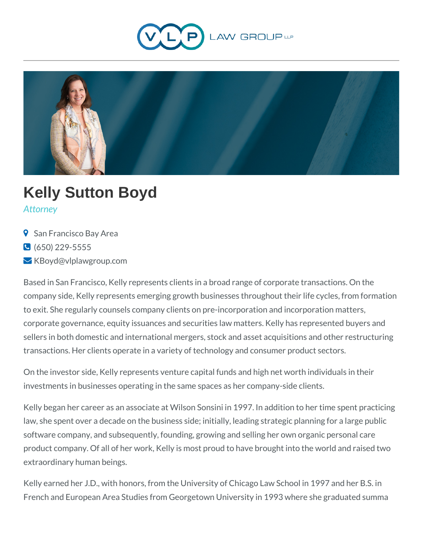



# **Kelly Sutton Boyd**

*Attorney*

- **9** San Francisco Bay Area
- $\bigcirc$  (650) 229-5555
- KBoyd@vlplawgroup.com

Based in San Francisco, Kelly represents clients in a broad range of corporate transactions. On the company side, Kelly represents emerging growth businesses throughout their life cycles, from formation to exit. She regularly counsels company clients on pre-incorporation and incorporation matters, corporate governance, equity issuances and securities law matters. Kelly has represented buyers and sellers in both domestic and international mergers, stock and asset acquisitions and other restructuring transactions. Her clients operate in a variety of technology and consumer product sectors.

On the investor side, Kelly represents venture capital funds and high net worth individuals in their investments in businesses operating in the same spaces as her company-side clients.

Kelly began her career as an associate at Wilson Sonsini in 1997. In addition to her time spent practicing law, she spent over a decade on the business side; initially, leading strategic planning for a large public software company, and subsequently, founding, growing and selling her own organic personal care product company. Of all of her work, Kelly is most proud to have brought into the world and raised two extraordinary human beings.

Kelly earned her J.D., with honors, from the University of Chicago Law School in 1997 and her B.S. in French and European Area Studies from Georgetown University in 1993 where she graduated summa